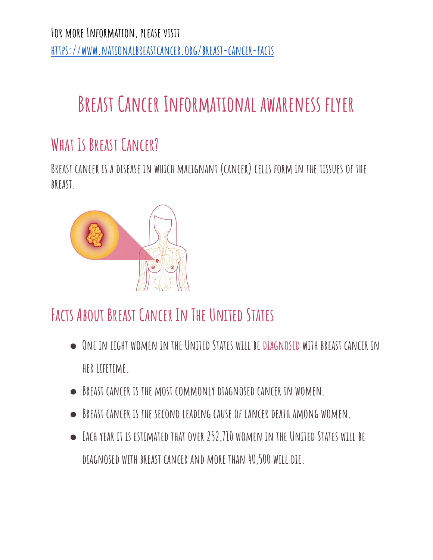**For more Information, please visit <https://www.nationalbreastcancer.org/breast-cancer-facts>**

# **Breast Cancer Informational awareness flyer**

### **What Is Breast Cancer?**

**Breast cancer is a disease in which malignant (cancer) cells form in the tissues of the breast.**



## **Facts About Breast Cancer In The United States**

- **● One in eight women in the United States will be [diagnosed](http://www.nationalbreastcancer.org/breast-cancer-diagnosis) with breast cancer in her lifetime.**
- **● Breast cancer is the most commonly diagnosed cancer in women.**
- **● Breast cancer is the second leading cause of cancer death among women.**
- **● Each year it is estimated that over 252,710 women in the United States will be diagnosed with breast cancer and more than 40,500 will die.**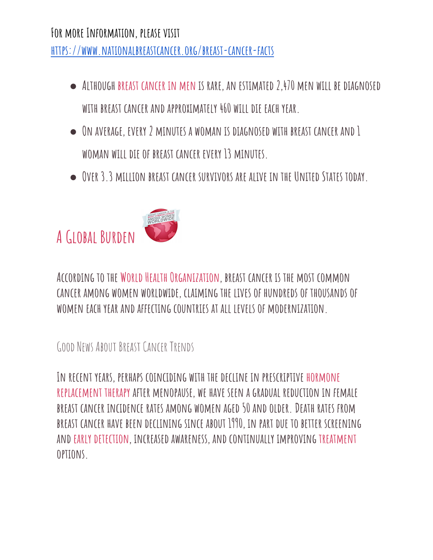#### **For more Information, please visit <https://www.nationalbreastcancer.org/breast-cancer-facts>**

- **● Although breast [cancer](http://www.nationalbreastcancer.org/male-breast-cancer) in men is rare, an estimated 2,470 men will be diagnosed with breast cancer and approximately 460 will die each year.**
- **● On average, every 2 minutes a woman is diagnosed with breast cancer and 1 woman will die of breast cancer every 13 minutes.**
- **● Over 3.3 million breast cancer survivors are alive in the United States today.**

# **AGlobal Burden**



**According to the World Health [Organization](http://www.who.int/en/), breast cancer is the most common cancer among women worldwide, claiming the lives of hundreds of thousands of women each year and affecting countries at all levels of modernization.**

#### GOOD NEWS ABOUT BREAST CANCER TRENDS

**In recent years, perhaps coinciding with the decline in prescriptive [hormone](http://www.nationalbreastcancer.org/breast-cancer-risk-factors) [replacement](http://www.nationalbreastcancer.org/breast-cancer-risk-factors) therapy after menopause, we have seen a gradual reduction in female breast cancer incidence rates among women aged 50 and older.Death rates from breast cancer have been declining since about 1990, in part due to better screening and early [detection,](http://www.nationalbreastcancer.org/early-detection-of-breast-cancer) increased awareness, and continually improving [treatment](http://www.nationalbreastcancer.org/breast-cancer-treatment) options.**